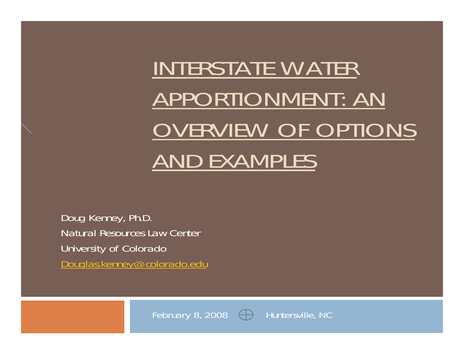# INTERSTATE WATER APPORTIONMENT: AN OVERVIEW OF OPTIONS AND EXAMPLES

Doug Kenney, Ph.D. Natural Resources Law Center University of Colorado Douglas.kenney@colorado.edu

February 8, 2008  $\bigoplus$  Huntersville, NC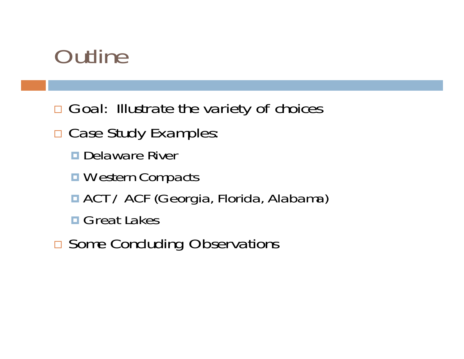# **Outline**

- □ Goal: Illustrate the variety of choices
- □ Case Study Examples:
	- **Delaware River**
	- **Nestern Compacts**
	- ACT / ACF (Georgia, Florida, Alabama)
	- **□ Great Lakes**
- **□ Some Concluding Observations**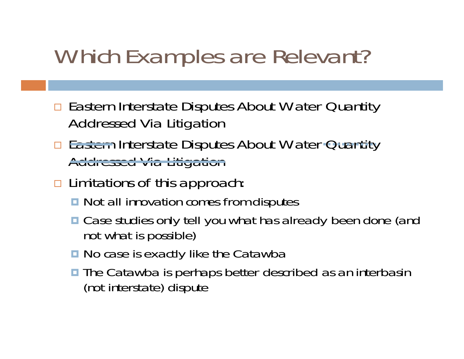# Which Examples are Relevant?

- □ Eastern Interstate Disputes About Water Quantity Addressed Via Litigation
- □ Eastern Interstate Disputes About Water Quantity Addressed Via Litigation
- □ Limitations of this approach:
	- **□** Not all innovation comes from disputes
	- Case studies only tell you what has already been done (and not what is possible)
	- No case is exactly like the Catawba
	- **The Catawba is perhaps better described as an interbasin** (not interstate) dispute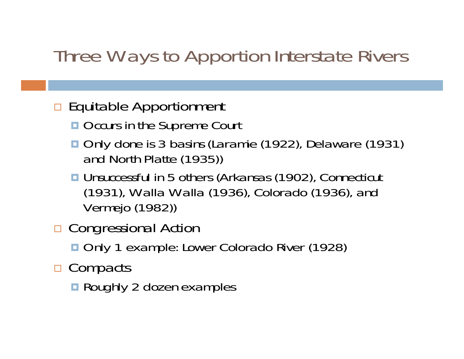#### Three Ways to Apportion Interstate Rivers

#### □ Equitable Apportionment

- Occurs in the Supreme Court
- Only done is 3 basins (Laramie (1922), Delaware (1931) and North Platte (1935))
- Unsuccessful in 5 others (Arkansas (1902), Connecticut (1931), Walla Walla (1936), Colorado (1936), and Vermejo (1982))
- □ Congressional Action
	- Only 1 example: Lower Colorado River (1928)
- □ Compacts
	- **Roughly 2 dozen examples**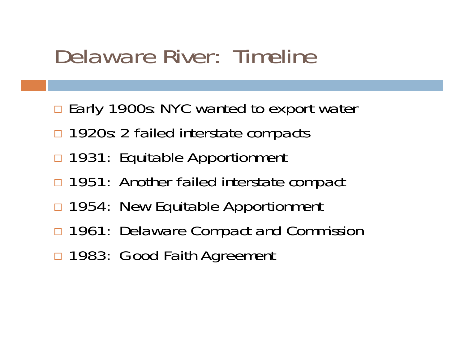# Delaware River: Timeline

- □ Early 1900s: NYC wanted to export water
- $\Box$ 1920s: 2 failed interstate compacts
- □ 1931: Equitable Apportionment
- □ 1951: Another failed interstate compact
- □ 1954: New Equitable Apportionment
- □ 1961: Delaware Compact and Commission
- □ 1983: Good Faith Agreement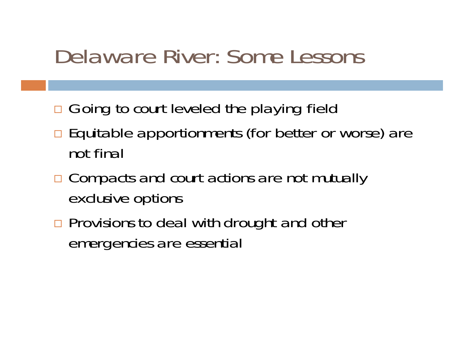# Delaware River: Some Lessons

- □ Going to court leveled the playing field
- □ Equitable apportionments (for better or worse) are not final
- □ Compacts and court actions are not mutually exclusive options
- **n** Provisions to deal with drought and other emergencies are essential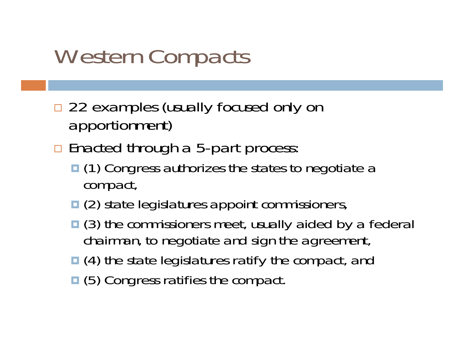# Western Compacts

- □ 22 examples (usually focused only on apportionment)
- □ Enacted through a 5-part process:
	- (1) Congress authorizes the states to negotiate a compact,
	- **□ (2) state legislatures appoint commissioners,**
	- **□** (3) the commissioners meet, usually aided by a federal chairman, to negotiate and sign the agreement,
	- (4) the state legislatures ratify the compact, and
	- **□** (5) Congress ratifies the compact.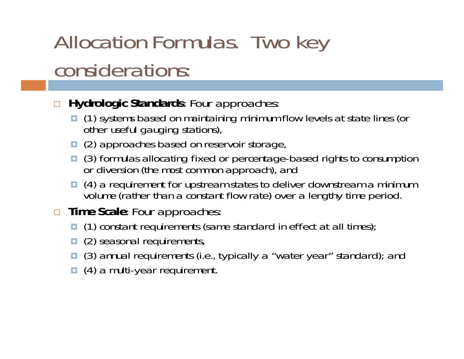# Allocation Formulas. Two key considerations:

- $\Box$  **Hydrologic Standards**: Four approaches:
	- (1) systems based on maintaining minimum flow levels at state lines (or other useful gauging stations),
	- □ (2) approaches based on reservoir storage,
	- □ (3) formulas allocating fixed or percentage-based rights to consumption or diversion (the most common approach), and
	- (4) a requirement for upstream states to deliver downstream a minimum *volume* (rather than a constant *flow* rate) over a lengthy time period.
- **Time Scale**: Four approaches:
	- (1) constant requirements (same standard in effect at all times);
	- □ (2) seasonal requirements,
	- (3) annual requirements (i.e., typically a "water year" standard); and
	- □ (4) a multi-year requirement.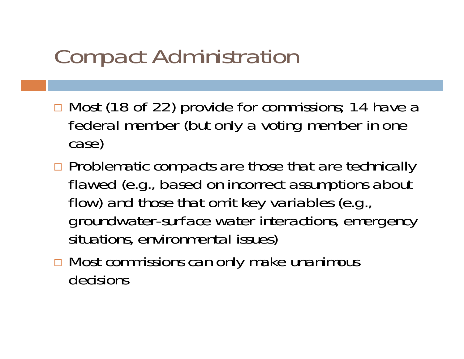# Compact Administration

- □ Most (18 of 22) provide for commissions; 14 have a federal member (but only a voting member in one case)
- □ Problematic compacts are those that are technically flawed (e.g., based on incorrect assumptions about flow) and those that omit key variables (e.g., groundwater-surface water interactions, emergency situations, environmental issues)
- **□ Most commissions can only make unanimous** decisions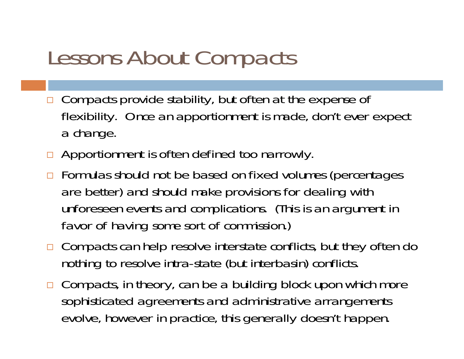# Lessons About Compacts

- $\Box$  Compacts provide stability, but often at the expense of flexibility. Once an apportionment is made, don't ever expect a change.
- **Apportionment is often defined too narrowly.**
- □ Formulas should not be based on fixed volumes (percentages are better) and should make provisions for dealing with unforeseen events and complications. (This is an argument in favor of having some sort of commission.)
- □ Compacts can help resolve interstate conflicts, but they often do nothing to resolve intra-state (but interbasin) conflicts.
- □ Compacts, in theory, can be a building block upon which more sophisticated agreements and administrative arrangements evolve, however in practice, this generally doesn't happen.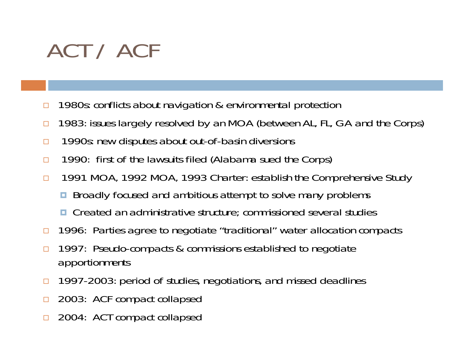# ACT / ACF

- $\Box$ 1980s: conflicts about navigation & environmental protection
- $\Box$ 1983: issues largely resolved by an MOA (between AL, FL, GA and the Corps)
- $\Box$ 1990s: new disputes about out-of-basin diversions
- $\Box$ 1990: first of the lawsuits filed (Alabama sued the Corps)
- $\Box$  1991 MOA, 1992 MOA, 1993 Charter: establish the Comprehensive Study
	- $\Box$ Broadly focused and ambitious attempt to solve many problems
	- **□** Created an administrative structure; commissioned several studies
- $\Box$ 1996: Parties agree to negotiate "traditional" water allocation compacts
- $\Box$  1997: Pseudo-compacts & commissions established to negotiate apportionments
- $\Box$ 1997-2003: period of studies, negotiations, and missed deadlines
- □ 2003: ACF compact collapsed
- □ 2004: ACT compact collapsed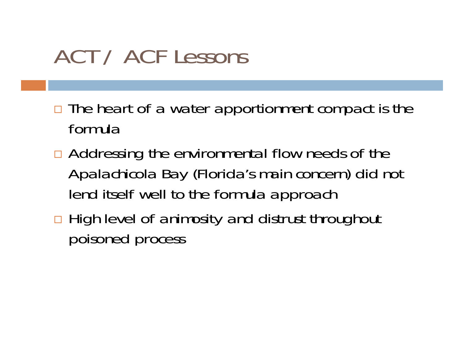# ACT / ACF Lessons

- □ The heart of a water apportionment compact is the formula
- □ Addressing the environmental flow needs of the Apalachicola Bay (Florida's main concern) did not lend itself well to the formula approach
- □ High level of animosity and distrust throughout poisoned process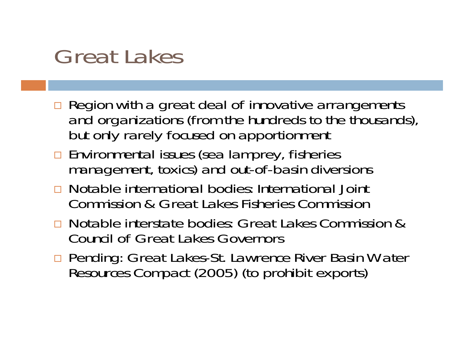## Great Lakes

- **n** Region with a great deal of innovative arrangements and organizations (from the hundreds to the thousands), but only rarely focused on apportionment
- $\Box$  Environmental issues (sea lamprey, fisheries management, toxics) and out-of-basin diversions
- **□** Notable international bodies: International Joint Commission & Great Lakes Fisheries Commission
- Notable interstate bodies: Great Lakes Commission & Council of Great Lakes Governors
- □ Pending: Great Lakes-St. Lawrence River Basin Water Resources Compact (2005) (to prohibit exports)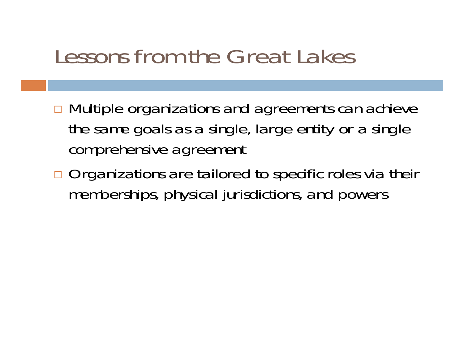### Lessons from the Great Lakes

- **□ Multiple organizations and agreements can achieve** the same goals as a single, large entity or a single comprehensive agreement
- □ Organizations are tailored to specific roles via their memberships, physical jurisdictions, and powers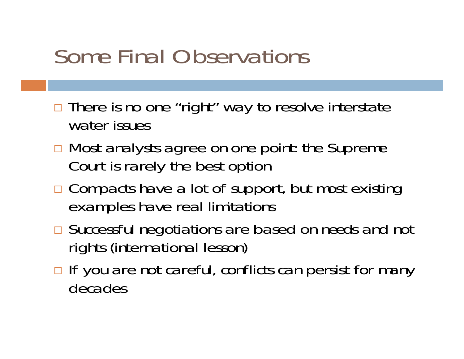# Some Final Observations

- □ There is no one "right" way to resolve interstate water issues
- **□ Most analysts agree on one point: the Supreme** Court is rarely the best option
- □ Compacts have a lot of support, but most existing examples have real limitations
- Successful negotiations are based on *needs* and not *rights* (international lesson)
- □ If you are not careful, conflicts can persist for many decades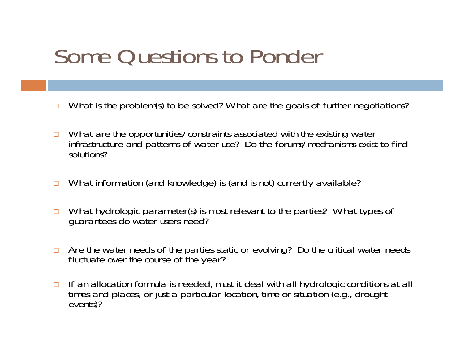# Some Questions to Ponder

- $\Box$ What is the problem(s) to be solved? What are the goals of further negotiations?
- $\Box$  What are the opportunities/constraints associated with the existing water infrastructure and patterns of water use? Do the forums/mechanisms exist to find solutions?
- $\Box$ What information (and knowledge) is (and is not) currently available?
- $\Box$  What hydrologic parameter(s) is most relevant to the parties? What types of guarantees do water users need?
- $\Box$  Are the water needs of the parties static or evolving? Do the critical water needs fluctuate over the course of the year?
- □ If an allocation formula is needed, must it deal with all hydrologic conditions at all times and places, or just a particular location, time or situation (e.g., drought events)?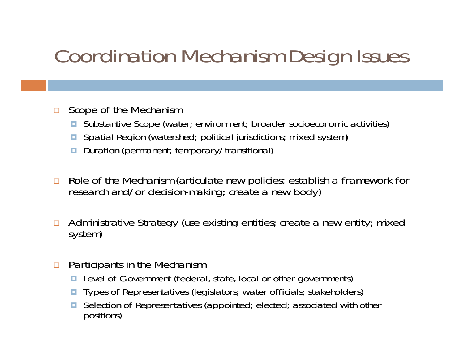### Coordination Mechanism Design Issues

- $\Box$  Scope of the Mechanism
	- Substantive Scope (water; environment; broader socioeconomic activities)
	- Spatial Region (watershed; political jurisdictions; mixed system)
	- **D** Duration (permanent; temporary/transitional)
- $\Box$ Role of the Mechanism (articulate new policies; establish a framework for research and/or decision-making; create a new body)
- $\Box$ Administrative Strategy (use existing entities; create a new entity; mixed system)
- **n** Participants in the Mechanism
	- **Level of Government (federal, state, local or other governments)**
	- **Types of Representatives (legislators**; water officials; stakeholders)
	- O. Selection of Representatives (appointed; elected; associated with other positions)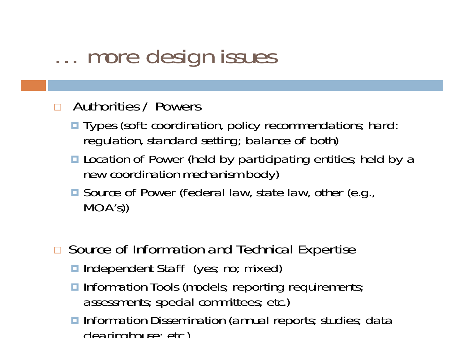# … more design issues

#### □ Authorities / Powers

- **Types (soft: coordination, policy recommendations; hard:** regulation, standard setting; balance of both)
- **Location of Power (held by participating entities; held by a** new coordination mechanism body)
- Source of Power (federal law, state law, other (e.g., MOA's))
- □ Source of Information and Technical Expertise
	- Independent Staff (yes; no; mixed)
	- **Information Tools (models; reporting requirements;** assessments; special committees; etc.)
	- **Information Dissemination (annual reports; studies; data**  $cl$ earinghouse; etc)